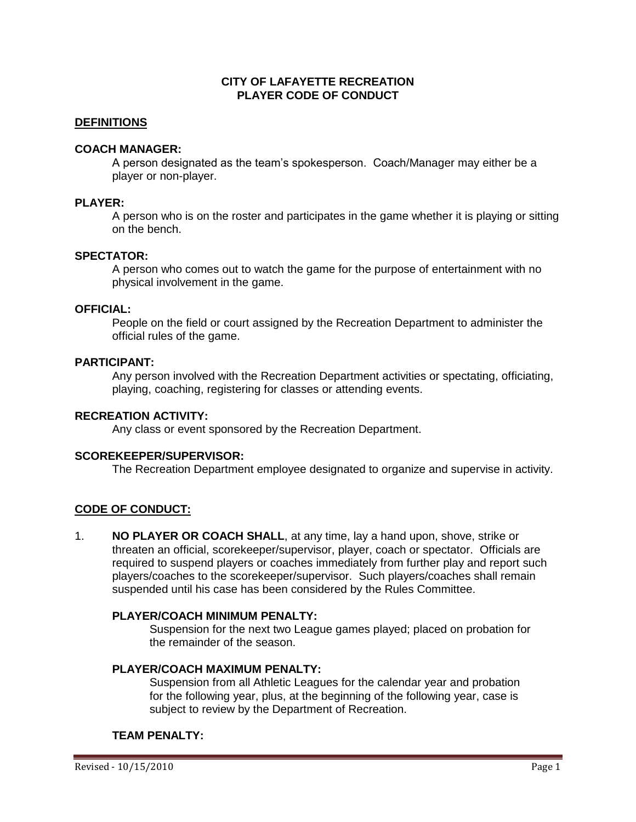## **CITY OF LAFAYETTE RECREATION PLAYER CODE OF CONDUCT**

### **DEFINITIONS**

### **COACH MANAGER:**

A person designated as the team's spokesperson. Coach/Manager may either be a player or non-player.

### **PLAYER:**

A person who is on the roster and participates in the game whether it is playing or sitting on the bench.

### **SPECTATOR:**

A person who comes out to watch the game for the purpose of entertainment with no physical involvement in the game.

# **OFFICIAL:**

People on the field or court assigned by the Recreation Department to administer the official rules of the game.

### **PARTICIPANT:**

Any person involved with the Recreation Department activities or spectating, officiating, playing, coaching, registering for classes or attending events.

#### **RECREATION ACTIVITY:**

Any class or event sponsored by the Recreation Department.

#### **SCOREKEEPER/SUPERVISOR:**

The Recreation Department employee designated to organize and supervise in activity.

### **CODE OF CONDUCT:**

1. **NO PLAYER OR COACH SHALL**, at any time, lay a hand upon, shove, strike or threaten an official, scorekeeper/supervisor, player, coach or spectator. Officials are required to suspend players or coaches immediately from further play and report such players/coaches to the scorekeeper/supervisor. Such players/coaches shall remain suspended until his case has been considered by the Rules Committee.

#### **PLAYER/COACH MINIMUM PENALTY:**

Suspension for the next two League games played; placed on probation for the remainder of the season.

#### **PLAYER/COACH MAXIMUM PENALTY:**

Suspension from all Athletic Leagues for the calendar year and probation for the following year, plus, at the beginning of the following year, case is subject to review by the Department of Recreation.

### **TEAM PENALTY:**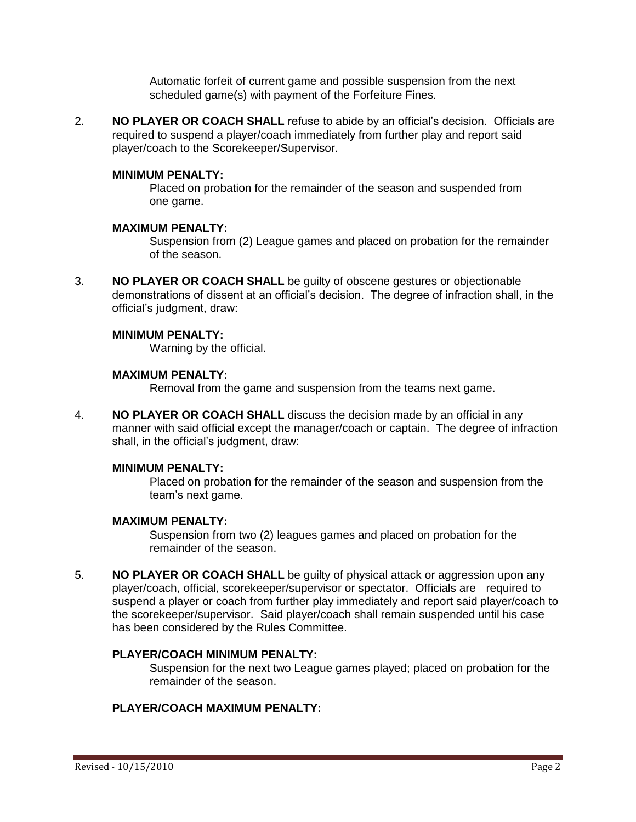Automatic forfeit of current game and possible suspension from the next scheduled game(s) with payment of the Forfeiture Fines.

2. **NO PLAYER OR COACH SHALL** refuse to abide by an official's decision. Officials are required to suspend a player/coach immediately from further play and report said player/coach to the Scorekeeper/Supervisor.

### **MINIMUM PENALTY:**

Placed on probation for the remainder of the season and suspended from one game.

#### **MAXIMUM PENALTY:**

Suspension from (2) League games and placed on probation for the remainder of the season.

3. **NO PLAYER OR COACH SHALL** be guilty of obscene gestures or objectionable demonstrations of dissent at an official's decision. The degree of infraction shall, in the official's judgment, draw:

#### **MINIMUM PENALTY:**

Warning by the official.

#### **MAXIMUM PENALTY:**

Removal from the game and suspension from the teams next game.

4. **NO PLAYER OR COACH SHALL** discuss the decision made by an official in any manner with said official except the manager/coach or captain. The degree of infraction shall, in the official's judgment, draw:

### **MINIMUM PENALTY:**

Placed on probation for the remainder of the season and suspension from the team's next game.

#### **MAXIMUM PENALTY:**

Suspension from two (2) leagues games and placed on probation for the remainder of the season.

5. **NO PLAYER OR COACH SHALL** be guilty of physical attack or aggression upon any player/coach, official, scorekeeper/supervisor or spectator. Officials are required to suspend a player or coach from further play immediately and report said player/coach to the scorekeeper/supervisor. Said player/coach shall remain suspended until his case has been considered by the Rules Committee.

#### **PLAYER/COACH MINIMUM PENALTY:**

Suspension for the next two League games played; placed on probation for the remainder of the season.

# **PLAYER/COACH MAXIMUM PENALTY:**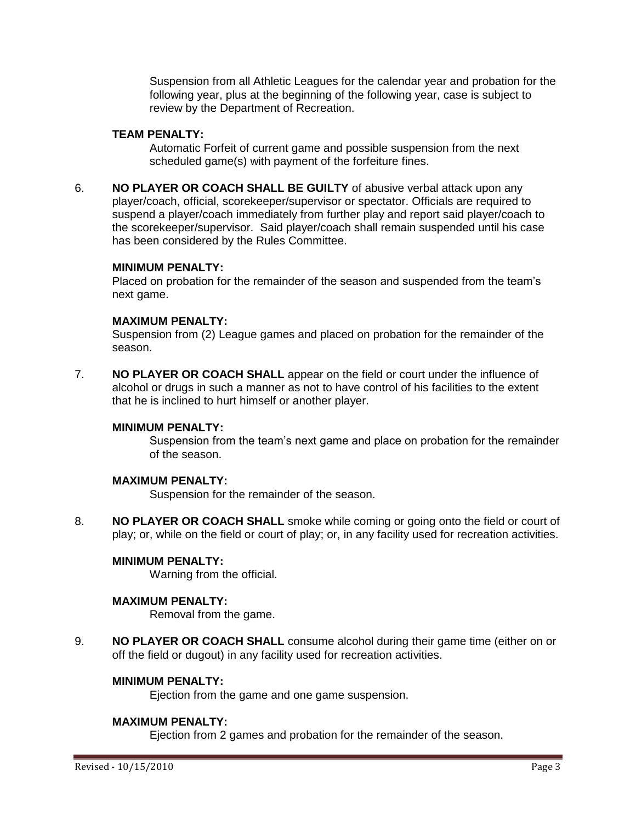Suspension from all Athletic Leagues for the calendar year and probation for the following year, plus at the beginning of the following year, case is subject to review by the Department of Recreation.

## **TEAM PENALTY:**

Automatic Forfeit of current game and possible suspension from the next scheduled game(s) with payment of the forfeiture fines.

6. **NO PLAYER OR COACH SHALL BE GUILTY** of abusive verbal attack upon any player/coach, official, scorekeeper/supervisor or spectator. Officials are required to suspend a player/coach immediately from further play and report said player/coach to the scorekeeper/supervisor. Said player/coach shall remain suspended until his case has been considered by the Rules Committee.

### **MINIMUM PENALTY:**

Placed on probation for the remainder of the season and suspended from the team's next game.

# **MAXIMUM PENALTY:**

Suspension from (2) League games and placed on probation for the remainder of the season.

7. **NO PLAYER OR COACH SHALL** appear on the field or court under the influence of alcohol or drugs in such a manner as not to have control of his facilities to the extent that he is inclined to hurt himself or another player.

### **MINIMUM PENALTY:**

Suspension from the team's next game and place on probation for the remainder of the season.

### **MAXIMUM PENALTY:**

Suspension for the remainder of the season.

8. **NO PLAYER OR COACH SHALL** smoke while coming or going onto the field or court of play; or, while on the field or court of play; or, in any facility used for recreation activities.

# **MINIMUM PENALTY:**

Warning from the official.

# **MAXIMUM PENALTY:**

Removal from the game.

9. **NO PLAYER OR COACH SHALL** consume alcohol during their game time (either on or off the field or dugout) in any facility used for recreation activities.

### **MINIMUM PENALTY:**

Ejection from the game and one game suspension.

### **MAXIMUM PENALTY:**

Ejection from 2 games and probation for the remainder of the season.